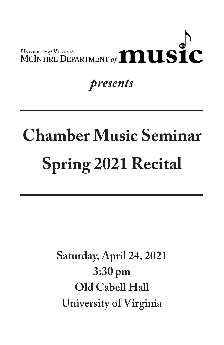

## *presents*

## **Chamber Music Seminar Spring 2021 Recital**

**Saturday, April 24, 2021 3:30 pm Old Cabell Hall University of Virginia**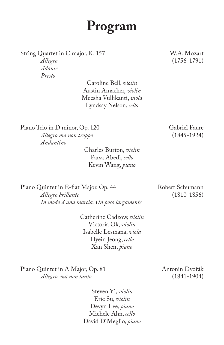## **Program**

String Quartet in C major, K. 157 W.A. Mozart

*Adante Presto*

> Caroline Bell, *violin* Austin Amacher, *violin* Meesha Vullikanti, *viola* Lyndsay Nelson, *cello*

Piano Trio in D minor, Op. 120 Gabriel Faure *Allegro ma non troppo* (1845-1924) *Andantino*

> Charles Burton, *violin* Parsa Abedi, *cello* Kevin Wang, *piano*

Piano Quintet in E-flat Major, Op. 44 Robert Schumann *Allegro brillante* (1810-1856) *In modo d'una marcia. Un poco largamente*

> Catherine Cadzow, *violin* Victoria Ok, *violin* Isabelle Lesmana, *viola* Hyein Jeong, *cello* Xan Shen, *piano*

Piano Quintet in A Major, Op. 81 Antonin Dvořák *Allegro, ma non tanto* (1841-1904)

> Steven Yi, *violin* Eric Su, *violin* Devyn Lee, *piano* Michele Ahn, *cello* David DiMeglio, *piano*

*Allegro* (1756-1791)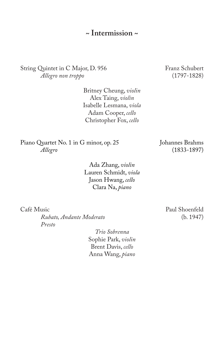**~ Intermission ~**

String Quintet in C Major, D. 956 Franz Schubert<br> *Allegro non troppo* (1797-1828)  $Allegro$  non troppo

> Britney Cheung, *violin* Alex Taing, *violin* Isabelle Lesmana, *viola* Adam Cooper, *cello* Christopher Fox, *cello*

Piano Quartet No. 1 in G minor, op. 25 Johannes Brahms<br> *Allegro* (1833-1897)

Ada Zhang, *violin* Lauren Schmidt, *viola* Jason Hwang, *cello* Clara Na, *piano*

 $Rubato, Andante Modernato$ *Presto*

> *Trio Sobrenna* Sophie Park, *violin* Brent Davis, *cello* Anna Wang, *piano*

*Allegro* (1833-1897)

Café Music<br>
Rubato, Andante Moderato<br>
(b. 1947)